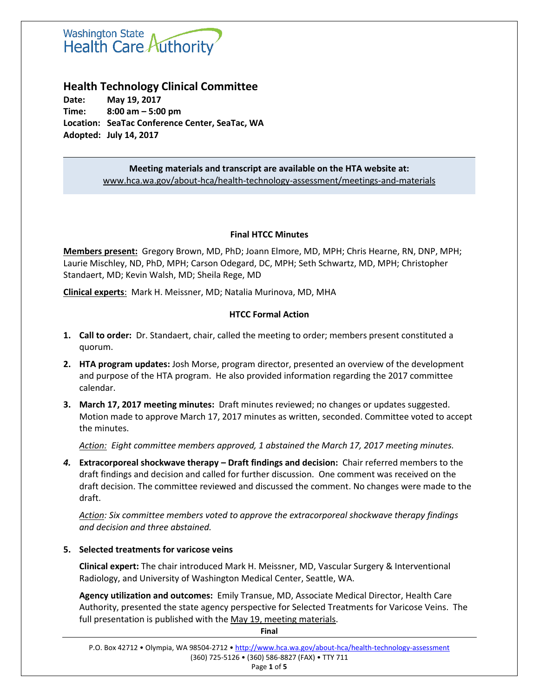# **Washington State** Health Care Authority

# **Health Technology Clinical Committee**

**Date: May 19, 2017 Time: 8:00 am – 5:00 pm Location: SeaTac Conference Center, SeaTac, WA Adopted: July 14, 2017**

> **Meeting materials and transcript are available on the HTA website at:** [www.hca.wa.gov/about-hca/health-technology-assessment/meetings-and-materials](http://www.hca.wa.gov/about-hca/health-technology-assessment/meetings-and-materials)

#### **Final HTCC Minutes**

**Members present:** Gregory Brown, MD, PhD; Joann Elmore, MD, MPH; Chris Hearne, RN, DNP, MPH; Laurie Mischley, ND, PhD, MPH; Carson Odegard, DC, MPH; Seth Schwartz, MD, MPH; Christopher Standaert, MD; Kevin Walsh, MD; Sheila Rege, MD

**Clinical experts**: Mark H. Meissner, MD; Natalia Murinova, MD, MHA

## **HTCC Formal Action**

- **1. Call to order:** Dr. Standaert, chair, called the meeting to order; members present constituted a quorum.
- **2. HTA program updates:** Josh Morse, program director, presented an overview of the development and purpose of the HTA program. He also provided information regarding the 2017 committee calendar.
- **3. March 17, 2017 meeting minutes:** Draft minutes reviewed; no changes or updates suggested. Motion made to approve March 17, 2017 minutes as written, seconded. Committee voted to accept the minutes.

*Action: Eight committee members approved, 1 abstained the March 17, 2017 meeting minutes.*

*4.* **Extracorporeal shockwave therapy – Draft findings and decision:** Chair referred members to the draft findings and decision and called for further discussion. One comment was received on the draft decision. The committee reviewed and discussed the comment. No changes were made to the draft.

*Action: Six committee members voted to approve the extracorporeal shockwave therapy findings and decision and three abstained.* 

## **5. Selected treatments for varicose veins**

**Clinical expert:** The chair introduced Mark H. Meissner, MD, Vascular Surgery & Interventional Radiology, and University of Washington Medical Center, Seattle, WA.

**Agency utilization and outcomes:** Emily Transue, MD, Associate Medical Director, Health Care Authority, presented the state agency perspective for Selected Treatments for Varicose Veins. The full presentation is published with the May 19, [meeting materials.](http://www.hca.wa.gov/about-hca/health-technology-assessment/meetings-and-materials)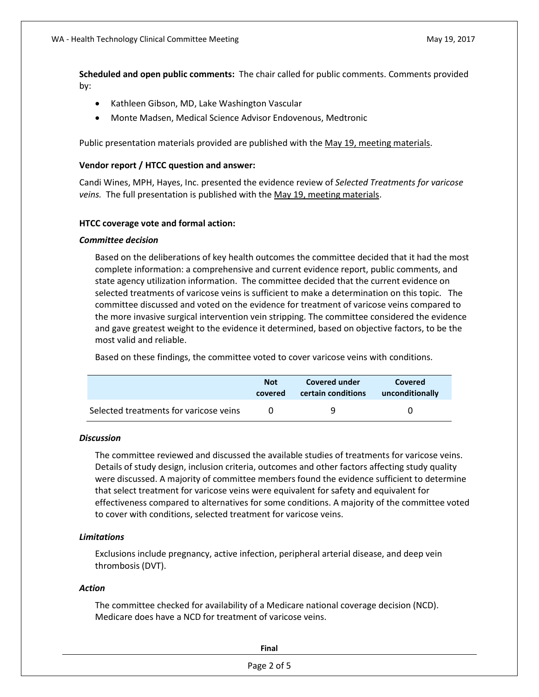**Scheduled and open public comments:** The chair called for public comments. Comments provided by:

- Kathleen Gibson, MD, Lake Washington Vascular
- Monte Madsen, Medical Science Advisor Endovenous, Medtronic

Public presentation materials provided are published with the May 19, meeting [materials.](http://www.hca.wa.gov/about-hca/health-technology-assessment/meetings-and-materials)

#### **Vendor report / HTCC question and answer:**

Candi Wines, MPH, Hayes, Inc. presented the evidence review of *Selected Treatments for varicose veins.* The full presentation is published with the May 19, [meeting materials.](http://www.hca.wa.gov/about-hca/health-technology-assessment/meetings-and-materials)

#### **HTCC coverage vote and formal action:**

#### *Committee decision*

Based on the deliberations of key health outcomes the committee decided that it had the most complete information: a comprehensive and current evidence report, public comments, and state agency utilization information. The committee decided that the current evidence on selected treatments of varicose veins is sufficient to make a determination on this topic. The committee discussed and voted on the evidence for treatment of varicose veins compared to the more invasive surgical intervention vein stripping. The committee considered the evidence and gave greatest weight to the evidence it determined, based on objective factors, to be the most valid and reliable.

Based on these findings, the committee voted to cover varicose veins with conditions.

|                                        | <b>Not</b> | Covered under      | Covered         |
|----------------------------------------|------------|--------------------|-----------------|
|                                        | covered    | certain conditions | unconditionally |
| Selected treatments for varicose veins |            | q                  |                 |

#### *Discussion*

The committee reviewed and discussed the available studies of treatments for varicose veins. Details of study design, inclusion criteria, outcomes and other factors affecting study quality were discussed. A majority of committee members found the evidence sufficient to determine that select treatment for varicose veins were equivalent for safety and equivalent for effectiveness compared to alternatives for some conditions. A majority of the committee voted to cover with conditions, selected treatment for varicose veins.

#### *Limitations*

Exclusions include pregnancy, active infection, peripheral arterial disease, and deep vein thrombosis (DVT).

#### *Action*

The committee checked for availability of a Medicare national coverage decision (NCD). Medicare does have a NCD for treatment of varicose veins.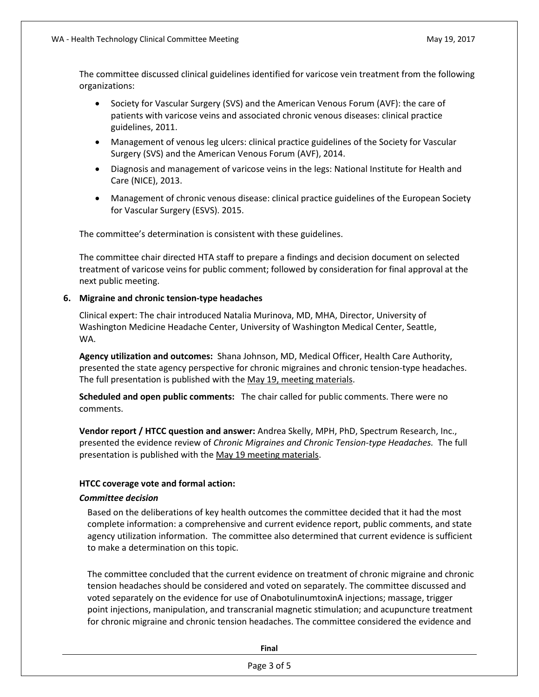The committee discussed clinical guidelines identified for varicose vein treatment from the following organizations:

- Society for Vascular Surgery (SVS) and the American Venous Forum (AVF): the care of patients with varicose veins and associated chronic venous diseases: clinical practice guidelines, 2011.
- Management of venous leg ulcers: clinical practice guidelines of the Society for Vascular Surgery (SVS) and the American Venous Forum (AVF), 2014.
- Diagnosis and management of varicose veins in the legs: National Institute for Health and Care (NICE), 2013.
- Management of chronic venous disease: clinical practice guidelines of the European Society for Vascular Surgery (ESVS). 2015.

The committee's determination is consistent with these guidelines.

The committee chair directed HTA staff to prepare a findings and decision document on selected treatment of varicose veins for public comment; followed by consideration for final approval at the next public meeting.

#### **6. Migraine and chronic tension-type headaches**

Clinical expert: The chair introduced Natalia Murinova, MD, MHA, Director, University of Washington Medicine Headache Center, University of Washington Medical Center, Seattle, WA.

**Agency utilization and outcomes:** Shana Johnson, MD, Medical Officer, Health Care Authority, presented the state agency perspective for chronic migraines and chronic tension-type headaches. The full presentation is published with the [May 19, meeting materials.](http://www.hca.wa.gov/about-hca/health-technology-assessment/meetings-and-materials)

**Scheduled and open public comments:** The chair called for public comments. There were no comments.

**Vendor report / HTCC question and answer:** Andrea Skelly, MPH, PhD, Spectrum Research, Inc., presented the evidence review of *Chronic Migraines and Chronic Tension-type Headaches.* The full presentation is published with the [May 19 meeting materials.](http://www.hca.wa.gov/about-hca/health-technology-assessment/meetings-and-materials)

#### **HTCC coverage vote and formal action:**

#### *Committee decision*

Based on the deliberations of key health outcomes the committee decided that it had the most complete information: a comprehensive and current evidence report, public comments, and state agency utilization information. The committee also determined that current evidence is sufficient to make a determination on this topic.

The committee concluded that the current evidence on treatment of chronic migraine and chronic tension headaches should be considered and voted on separately. The committee discussed and voted separately on the evidence for use of OnabotulinumtoxinA injections; massage, trigger point injections, manipulation, and transcranial magnetic stimulation; and acupuncture treatment for chronic migraine and chronic tension headaches. The committee considered the evidence and

**Final**

Page 3 of 5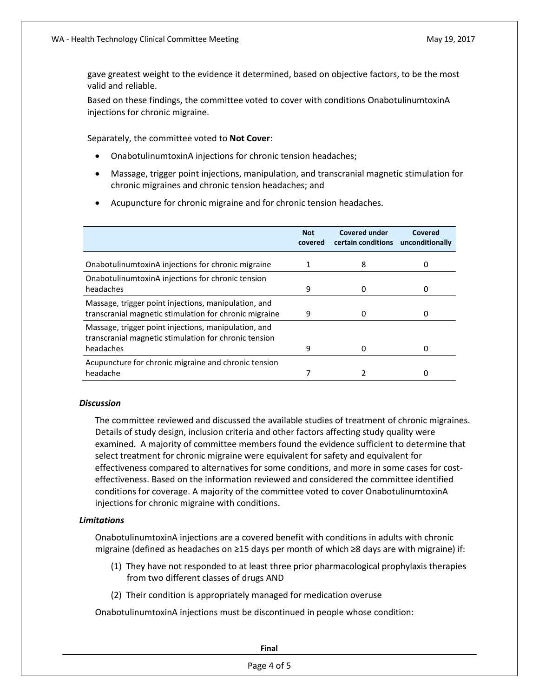gave greatest weight to the evidence it determined, based on objective factors, to be the most valid and reliable.

Based on these findings, the committee voted to cover with conditions OnabotulinumtoxinA injections for chronic migraine.

Separately, the committee voted to **Not Cover**:

- OnabotulinumtoxinA injections for chronic tension headaches;
- Massage, trigger point injections, manipulation, and transcranial magnetic stimulation for chronic migraines and chronic tension headaches; and
- Acupuncture for chronic migraine and for chronic tension headaches.

|                                                                                                                            | <b>Not</b><br>covered | Covered under<br>certain conditions | Covered<br>unconditionally |
|----------------------------------------------------------------------------------------------------------------------------|-----------------------|-------------------------------------|----------------------------|
| OnabotulinumtoxinA injections for chronic migraine                                                                         |                       | 8                                   |                            |
| Onabotulinum toxin A injections for chronic tension<br>headaches                                                           | 9                     |                                     |                            |
| Massage, trigger point injections, manipulation, and<br>transcranial magnetic stimulation for chronic migraine             | 9                     |                                     |                            |
| Massage, trigger point injections, manipulation, and<br>transcranial magnetic stimulation for chronic tension<br>headaches | 9                     |                                     |                            |
| Acupuncture for chronic migraine and chronic tension<br>headache                                                           |                       |                                     |                            |

#### *Discussion*

The committee reviewed and discussed the available studies of treatment of chronic migraines. Details of study design, inclusion criteria and other factors affecting study quality were examined. A majority of committee members found the evidence sufficient to determine that select treatment for chronic migraine were equivalent for safety and equivalent for effectiveness compared to alternatives for some conditions, and more in some cases for costeffectiveness. Based on the information reviewed and considered the committee identified conditions for coverage. A majority of the committee voted to cover OnabotulinumtoxinA injections for chronic migraine with conditions.

#### *Limitations*

OnabotulinumtoxinA injections are a covered benefit with conditions in adults with chronic migraine (defined as headaches on ≥15 days per month of which ≥8 days are with migraine) if:

- (1) They have not responded to at least three prior pharmacological prophylaxis therapies from two different classes of drugs AND
- (2) Their condition is appropriately managed for medication overuse

OnabotulinumtoxinA injections must be discontinued in people whose condition: